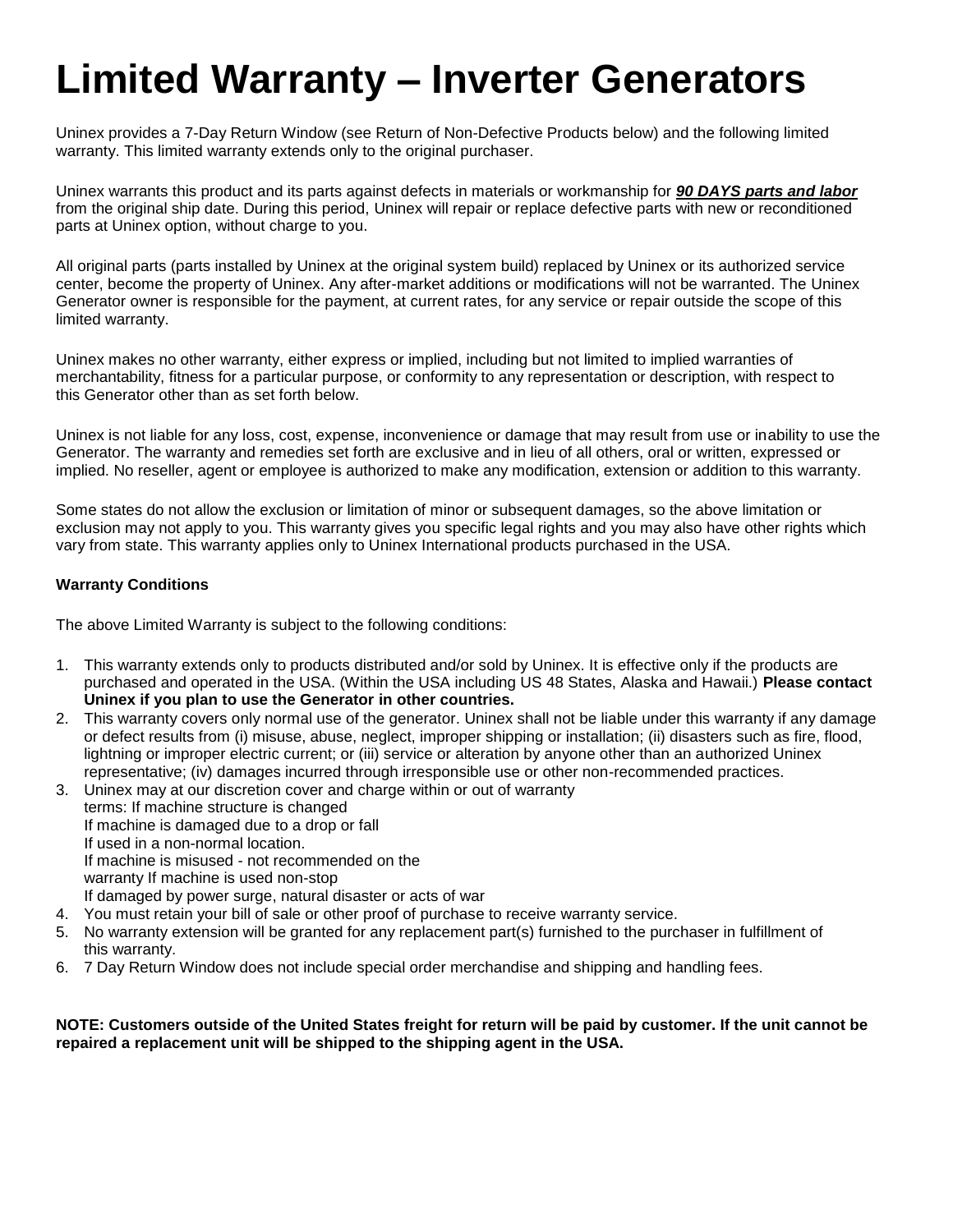# **Limited Warranty – Inverter Generators**

Uninex provides a 7-Day Return Window (see Return of Non-Defective Products below) and the following limited warranty. This limited warranty extends only to the original purchaser.

Uninex warrants this product and its parts against defects in materials or workmanship for *90 DAYS parts and labor*  from the original ship date. During this period, Uninex will repair or replace defective parts with new or reconditioned parts at Uninex option, without charge to you.

All original parts (parts installed by Uninex at the original system build) replaced by Uninex or its authorized service center, become the property of Uninex. Any after-market additions or modifications will not be warranted. The Uninex Generator owner is responsible for the payment, at current rates, for any service or repair outside the scope of this limited warranty.

Uninex makes no other warranty, either express or implied, including but not limited to implied warranties of merchantability, fitness for a particular purpose, or conformity to any representation or description, with respect to this Generator other than as set forth below.

Uninex is not liable for any loss, cost, expense, inconvenience or damage that may result from use or inability to use the Generator. The warranty and remedies set forth are exclusive and in lieu of all others, oral or written, expressed or implied. No reseller, agent or employee is authorized to make any modification, extension or addition to this warranty.

Some states do not allow the exclusion or limitation of minor or subsequent damages, so the above limitation or exclusion may not apply to you. This warranty gives you specific legal rights and you may also have other rights which vary from state. This warranty applies only to Uninex International products purchased in the USA.

#### **Warranty Conditions**

The above Limited Warranty is subject to the following conditions:

- 1. This warranty extends only to products distributed and/or sold by Uninex. It is effective only if the products are purchased and operated in the USA. (Within the USA including US 48 States, Alaska and Hawaii.) **Please contact Uninex if you plan to use the Generator in other countries.**
- 2. This warranty covers only normal use of the generator. Uninex shall not be liable under this warranty if any damage or defect results from (i) misuse, abuse, neglect, improper shipping or installation; (ii) disasters such as fire, flood, lightning or improper electric current; or (iii) service or alteration by anyone other than an authorized Uninex representative; (iv) damages incurred through irresponsible use or other non-recommended practices.
- 3. Uninex may at our discretion cover and charge within or out of warranty terms: If machine structure is changed If machine is damaged due to a drop or fall If used in a non-normal location. If machine is misused - not recommended on the warranty If machine is used non-stop If damaged by power surge, natural disaster or acts of war
- 4. You must retain your bill of sale or other proof of purchase to receive warranty service.
- 5. No warranty extension will be granted for any replacement part(s) furnished to the purchaser in fulfillment of this warranty.
- 6. 7 Day Return Window does not include special order merchandise and shipping and handling fees.

**NOTE: Customers outside of the United States freight for return will be paid by customer. If the unit cannot be repaired a replacement unit will be shipped to the shipping agent in the USA.**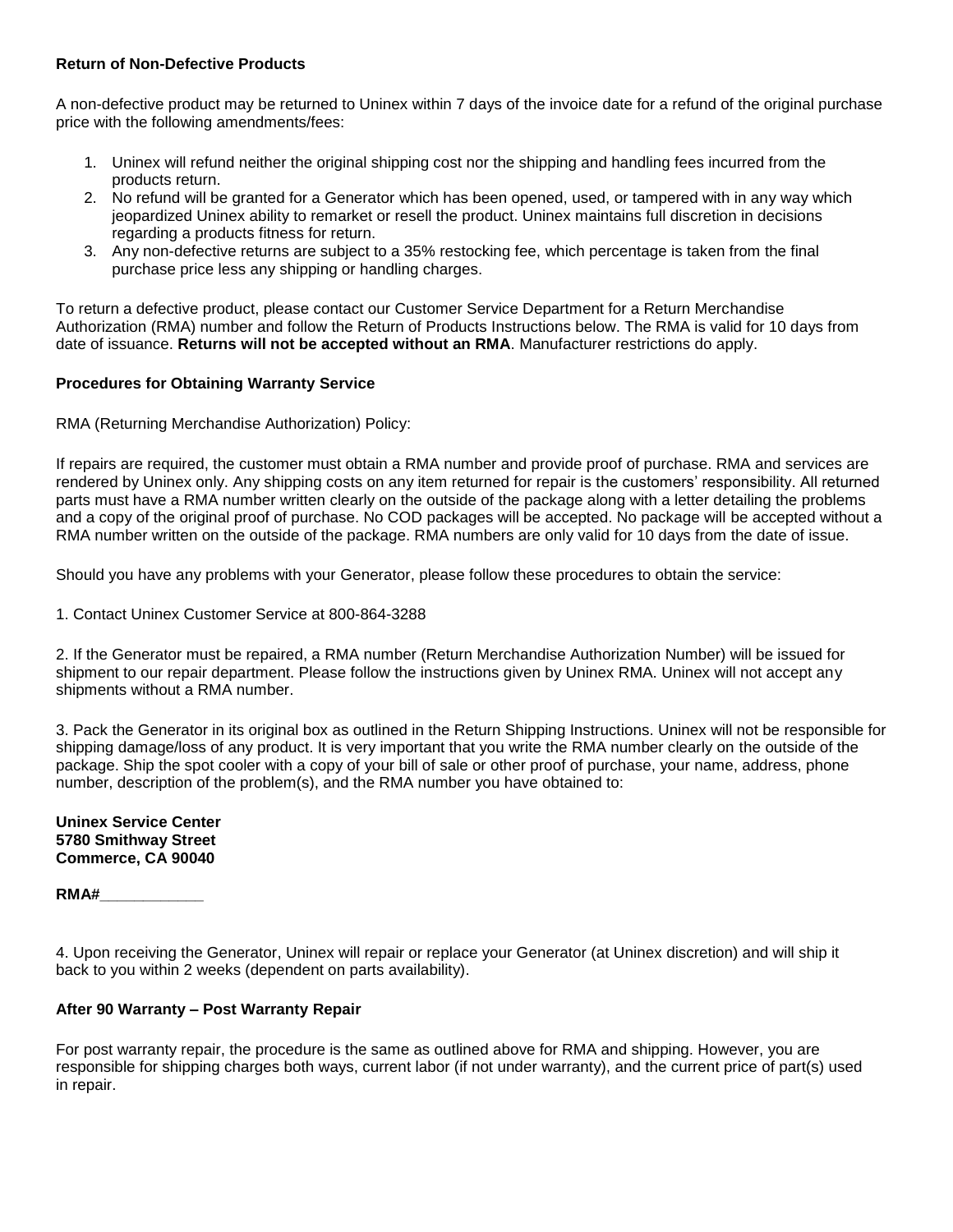#### **Return of Non-Defective Products**

A non-defective product may be returned to Uninex within 7 days of the invoice date for a refund of the original purchase price with the following amendments/fees:

- 1. Uninex will refund neither the original shipping cost nor the shipping and handling fees incurred from the products return.
- 2. No refund will be granted for a Generator which has been opened, used, or tampered with in any way which jeopardized Uninex ability to remarket or resell the product. Uninex maintains full discretion in decisions regarding a products fitness for return.
- 3. Any non-defective returns are subject to a 35% restocking fee, which percentage is taken from the final purchase price less any shipping or handling charges.

To return a defective product, please contact our Customer Service Department for a Return Merchandise Authorization (RMA) number and follow the Return of Products Instructions below. The RMA is valid for 10 days from date of issuance. **Returns will not be accepted without an RMA**. Manufacturer restrictions do apply.

#### **Procedures for Obtaining Warranty Service**

RMA (Returning Merchandise Authorization) Policy:

If repairs are required, the customer must obtain a RMA number and provide proof of purchase. RMA and services are rendered by Uninex only. Any shipping costs on any item returned for repair is the customers' responsibility. All returned parts must have a RMA number written clearly on the outside of the package along with a letter detailing the problems and a copy of the original proof of purchase. No COD packages will be accepted. No package will be accepted without a RMA number written on the outside of the package. RMA numbers are only valid for 10 days from the date of issue.

Should you have any problems with your Generator, please follow these procedures to obtain the service:

1. Contact Uninex Customer Service at 800-864-3288

2. If the Generator must be repaired, a RMA number (Return Merchandise Authorization Number) will be issued for shipment to our repair department. Please follow the instructions given by Uninex RMA. Uninex will not accept any shipments without a RMA number.

3. Pack the Generator in its original box as outlined in the Return Shipping Instructions. Uninex will not be responsible for shipping damage/loss of any product. It is very important that you write the RMA number clearly on the outside of the package. Ship the spot cooler with a copy of your bill of sale or other proof of purchase, your name, address, phone number, description of the problem(s), and the RMA number you have obtained to:

#### **Uninex Service Center 5780 Smithway Street Commerce, CA 90040**

#### **RMA#\_\_\_\_\_\_\_\_\_\_\_\_**

4. Upon receiving the Generator, Uninex will repair or replace your Generator (at Uninex discretion) and will ship it back to you within 2 weeks (dependent on parts availability).

#### **After 90 Warranty – Post Warranty Repair**

For post warranty repair, the procedure is the same as outlined above for RMA and shipping. However, you are responsible for shipping charges both ways, current labor (if not under warranty), and the current price of part(s) used in repair.